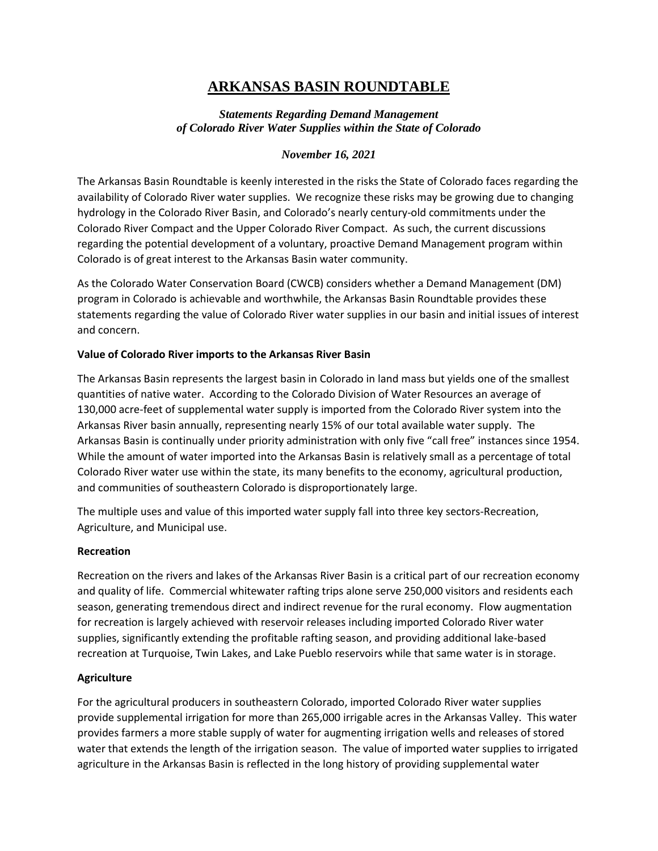# **ARKANSAS BASIN ROUNDTABLE**

# *Statements Regarding Demand Management of Colorado River Water Supplies within the State of Colorado*

## *November 16, 2021*

The Arkansas Basin Roundtable is keenly interested in the risks the State of Colorado faces regarding the availability of Colorado River water supplies. We recognize these risks may be growing due to changing hydrology in the Colorado River Basin, and Colorado's nearly century-old commitments under the Colorado River Compact and the Upper Colorado River Compact. As such, the current discussions regarding the potential development of a voluntary, proactive Demand Management program within Colorado is of great interest to the Arkansas Basin water community.

As the Colorado Water Conservation Board (CWCB) considers whether a Demand Management (DM) program in Colorado is achievable and worthwhile, the Arkansas Basin Roundtable provides these statements regarding the value of Colorado River water supplies in our basin and initial issues of interest and concern.

## **Value of Colorado River imports to the Arkansas River Basin**

The Arkansas Basin represents the largest basin in Colorado in land mass but yields one of the smallest quantities of native water. According to the Colorado Division of Water Resources an average of 130,000 acre-feet of supplemental water supply is imported from the Colorado River system into the Arkansas River basin annually, representing nearly 15% of our total available water supply. The Arkansas Basin is continually under priority administration with only five "call free" instances since 1954. While the amount of water imported into the Arkansas Basin is relatively small as a percentage of total Colorado River water use within the state, its many benefits to the economy, agricultural production, and communities of southeastern Colorado is disproportionately large.

The multiple uses and value of this imported water supply fall into three key sectors-Recreation, Agriculture, and Municipal use.

#### **Recreation**

Recreation on the rivers and lakes of the Arkansas River Basin is a critical part of our recreation economy and quality of life. Commercial whitewater rafting trips alone serve 250,000 visitors and residents each season, generating tremendous direct and indirect revenue for the rural economy. Flow augmentation for recreation is largely achieved with reservoir releases including imported Colorado River water supplies, significantly extending the profitable rafting season, and providing additional lake-based recreation at Turquoise, Twin Lakes, and Lake Pueblo reservoirs while that same water is in storage.

#### **Agriculture**

For the agricultural producers in southeastern Colorado, imported Colorado River water supplies provide supplemental irrigation for more than 265,000 irrigable acres in the Arkansas Valley. This water provides farmers a more stable supply of water for augmenting irrigation wells and releases of stored water that extends the length of the irrigation season. The value of imported water supplies to irrigated agriculture in the Arkansas Basin is reflected in the long history of providing supplemental water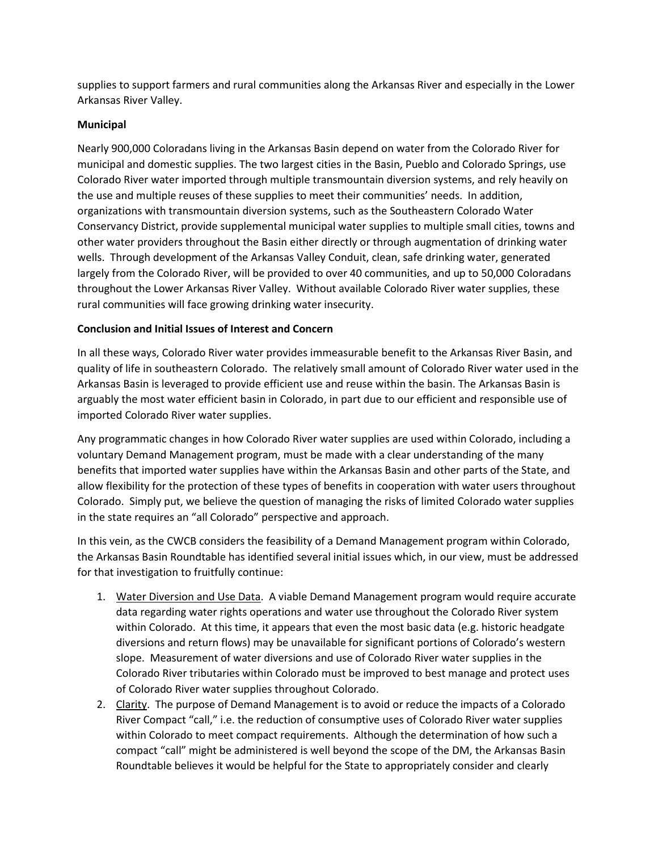supplies to support farmers and rural communities along the Arkansas River and especially in the Lower Arkansas River Valley.

# **Municipal**

Nearly 900,000 Coloradans living in the Arkansas Basin depend on water from the Colorado River for municipal and domestic supplies. The two largest cities in the Basin, Pueblo and Colorado Springs, use Colorado River water imported through multiple transmountain diversion systems, and rely heavily on the use and multiple reuses of these supplies to meet their communities' needs. In addition, organizations with transmountain diversion systems, such as the Southeastern Colorado Water Conservancy District, provide supplemental municipal water supplies to multiple small cities, towns and other water providers throughout the Basin either directly or through augmentation of drinking water wells. Through development of the Arkansas Valley Conduit, clean, safe drinking water, generated largely from the Colorado River, will be provided to over 40 communities, and up to 50,000 Coloradans throughout the Lower Arkansas River Valley. Without available Colorado River water supplies, these rural communities will face growing drinking water insecurity.

## **Conclusion and Initial Issues of Interest and Concern**

In all these ways, Colorado River water provides immeasurable benefit to the Arkansas River Basin, and quality of life in southeastern Colorado. The relatively small amount of Colorado River water used in the Arkansas Basin is leveraged to provide efficient use and reuse within the basin. The Arkansas Basin is arguably the most water efficient basin in Colorado, in part due to our efficient and responsible use of imported Colorado River water supplies.

Any programmatic changes in how Colorado River water supplies are used within Colorado, including a voluntary Demand Management program, must be made with a clear understanding of the many benefits that imported water supplies have within the Arkansas Basin and other parts of the State, and allow flexibility for the protection of these types of benefits in cooperation with water users throughout Colorado. Simply put, we believe the question of managing the risks of limited Colorado water supplies in the state requires an "all Colorado" perspective and approach.

In this vein, as the CWCB considers the feasibility of a Demand Management program within Colorado, the Arkansas Basin Roundtable has identified several initial issues which, in our view, must be addressed for that investigation to fruitfully continue:

- 1. Water Diversion and Use Data. A viable Demand Management program would require accurate data regarding water rights operations and water use throughout the Colorado River system within Colorado. At this time, it appears that even the most basic data (e.g. historic headgate diversions and return flows) may be unavailable for significant portions of Colorado's western slope. Measurement of water diversions and use of Colorado River water supplies in the Colorado River tributaries within Colorado must be improved to best manage and protect uses of Colorado River water supplies throughout Colorado.
- 2. Clarity. The purpose of Demand Management is to avoid or reduce the impacts of a Colorado River Compact "call," i.e. the reduction of consumptive uses of Colorado River water supplies within Colorado to meet compact requirements. Although the determination of how such a compact "call" might be administered is well beyond the scope of the DM, the Arkansas Basin Roundtable believes it would be helpful for the State to appropriately consider and clearly